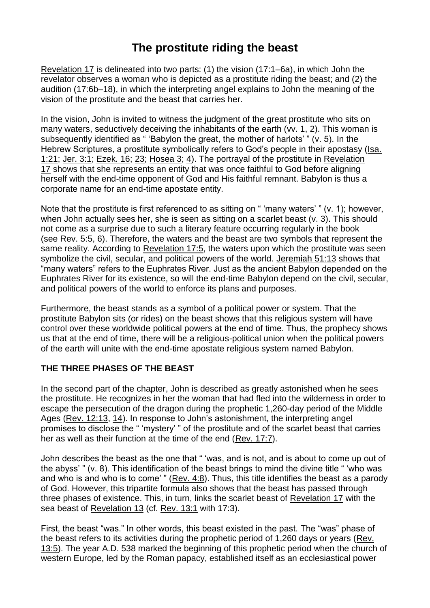## **The prostitute riding the beast**

[Revelation](https://biblia.com/bible/esv/Rev%2017) 17 is delineated into two parts: (1) the vision (17:1–6a), in which John the revelator observes a woman who is depicted as a prostitute riding the beast; and (2) the audition (17:6b–18), in which the interpreting angel explains to John the meaning of the vision of the prostitute and the beast that carries her.

In the vision, John is invited to witness the judgment of the great prostitute who sits on many waters, seductively deceiving the inhabitants of the earth (vv. 1, 2). This woman is subsequently identified as " 'Babylon the great, the mother of harlots' " (v. 5). In the Hebrew Scriptures, a prostitute symbolically refers to God's people in their apostasy [\(Isa.](https://biblia.com/bible/esv/Isa.%201.21) [1:21;](https://biblia.com/bible/esv/Isa.%201.21) [Jer.](https://biblia.com/bible/esv/Jer.%203.1) 3:1; [Ezek.](https://biblia.com/bible/esv/Ezek.%2016) 16; [23;](https://biblia.com/bible/esv/Ezek%2016.23) [Hosea](https://biblia.com/bible/esv/Hos%203) 3; [4\)](https://biblia.com/bible/esv/Hosea%204). The portrayal of the prostitute in [Revelation](https://biblia.com/bible/esv/Rev%2017) [17](https://biblia.com/bible/esv/Rev%2017) shows that she represents an entity that was once faithful to God before aligning herself with the end-time opponent of God and His faithful remnant. Babylon is thus a corporate name for an end-time apostate entity.

Note that the prostitute is first referenced to as sitting on " 'many waters' " (v. 1); however, when John actually sees her, she is seen as sitting on a scarlet beast (y, 3). This should not come as a surprise due to such a literary feature occurring regularly in the book (see [Rev.](https://biblia.com/bible/esv/Rev.%205.5) 5:5, [6\)](https://biblia.com/bible/esv/Rev%205.6). Therefore, the waters and the beast are two symbols that represent the same reality. According to [Revelation](https://biblia.com/bible/esv/Rev%2017.5) 17:5, the waters upon which the prostitute was seen symbolize the civil, secular, and political powers of the world. [Jeremiah](https://biblia.com/bible/esv/Jer%2051.13) 51:13 shows that "many waters" refers to the Euphrates River. Just as the ancient Babylon depended on the Euphrates River for its existence, so will the end-time Babylon depend on the civil, secular, and political powers of the world to enforce its plans and purposes.

Furthermore, the beast stands as a symbol of a political power or system. That the prostitute Babylon sits (or rides) on the beast shows that this religious system will have control over these worldwide political powers at the end of time. Thus, the prophecy shows us that at the end of time, there will be a religious-political union when the political powers of the earth will unite with the end-time apostate religious system named Babylon.

## **THE THREE PHASES OF THE BEAST**

In the second part of the chapter, John is described as greatly astonished when he sees the prostitute. He recognizes in her the woman that had fled into the wilderness in order to escape the persecution of the dragon during the prophetic 1,260-day period of the Middle Ages (Rev. [12:13,](https://biblia.com/bible/esv/Rev.%2012.13) [14\)](https://biblia.com/bible/esv/Rev%2012.14). In response to John's astonishment, the interpreting angel promises to disclose the " 'mystery' " of the prostitute and of the scarlet beast that carries her as well as their function at the time of the end [\(Rev.](https://biblia.com/bible/esv/Rev.%2017.7) 17:7).

John describes the beast as the one that " 'was, and is not, and is about to come up out of the abyss' " (v. 8). This identification of the beast brings to mind the divine title " 'who was and who is and who is to come' " [\(Rev.](https://biblia.com/bible/esv/Rev.%204.8) 4:8). Thus, this title identifies the beast as a parody of God. However, this tripartite formula also shows that the beast has passed through three phases of existence. This, in turn, links the scarlet beast of [Revelation](https://biblia.com/bible/esv/Rev%2017) 17 with the sea beast of [Revelation](https://biblia.com/bible/esv/Rev%2013) 13 (cf. [Rev.](https://biblia.com/bible/esv/Rev.%2013.1) 13:1 with 17:3).

First, the beast "was." In other words, this beast existed in the past. The "was" phase of the beast refers to its activities during the prophetic period of 1,260 days or years [\(Rev.](https://biblia.com/bible/esv/Rev.%2013.5) [13:5\)](https://biblia.com/bible/esv/Rev.%2013.5). The year A.D. 538 marked the beginning of this prophetic period when the church of western Europe, led by the Roman papacy, established itself as an ecclesiastical power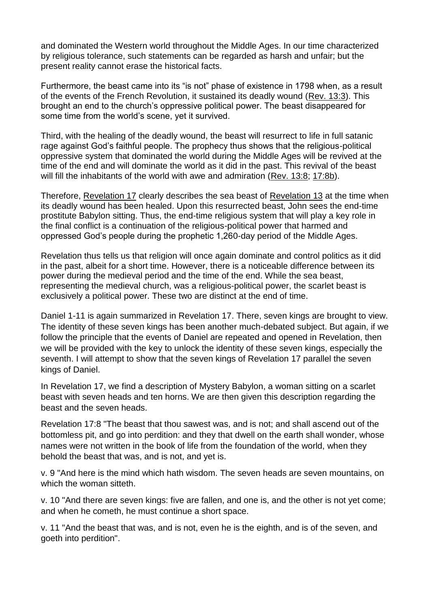and dominated the Western world throughout the Middle Ages. In our time characterized by religious tolerance, such statements can be regarded as harsh and unfair; but the present reality cannot erase the historical facts.

Furthermore, the beast came into its "is not" phase of existence in 1798 when, as a result of the events of the French Revolution, it sustained its deadly wound [\(Rev.](https://biblia.com/bible/esv/Rev.%2013.3) 13:3). This brought an end to the church's oppressive political power. The beast disappeared for some time from the world's scene, yet it survived.

Third, with the healing of the deadly wound, the beast will resurrect to life in full satanic rage against God's faithful people. The prophecy thus shows that the religious-political oppressive system that dominated the world during the Middle Ages will be revived at the time of the end and will dominate the world as it did in the past. This revival of the beast will fill the inhabitants of the world with awe and admiration [\(Rev.](https://biblia.com/bible/esv/Rev.%2013.8) 13:8; [17:8b\)](https://biblia.com/bible/esv/Rev%2017.8b).

Therefore, [Revelation](https://biblia.com/bible/esv/Rev%2017) 17 clearly describes the sea beast of [Revelation](https://biblia.com/bible/esv/Rev%2013) 13 at the time when its deadly wound has been healed. Upon this resurrected beast, John sees the end-time prostitute Babylon sitting. Thus, the end-time religious system that will play a key role in the final conflict is a continuation of the religious-political power that harmed and oppressed God's people during the prophetic 1,260-day period of the Middle Ages.

Revelation thus tells us that religion will once again dominate and control politics as it did in the past, albeit for a short time. However, there is a noticeable difference between its power during the medieval period and the time of the end. While the sea beast, representing the medieval church, was a religious-political power, the scarlet beast is exclusively a political power. These two are distinct at the end of time.

Daniel 1-11 is again summarized in Revelation 17. There, seven kings are brought to view. The identity of these seven kings has been another much-debated subject. But again, if we follow the principle that the events of Daniel are repeated and opened in Revelation, then we will be provided with the key to unlock the identity of these seven kings, especially the seventh. I will attempt to show that the seven kings of Revelation 17 parallel the seven kings of Daniel.

In Revelation 17, we find a description of Mystery Babylon, a woman sitting on a scarlet beast with seven heads and ten horns. We are then given this description regarding the beast and the seven heads.

Revelation 17:8 "The beast that thou sawest was, and is not; and shall ascend out of the bottomless pit, and go into perdition: and they that dwell on the earth shall wonder, whose names were not written in the book of life from the foundation of the world, when they behold the beast that was, and is not, and yet is.

v. 9 "And here is the mind which hath wisdom. The seven heads are seven mountains, on which the woman sitteth.

v. 10 "And there are seven kings: five are fallen, and one is, and the other is not yet come; and when he cometh, he must continue a short space.

v. 11 "And the beast that was, and is not, even he is the eighth, and is of the seven, and goeth into perdition".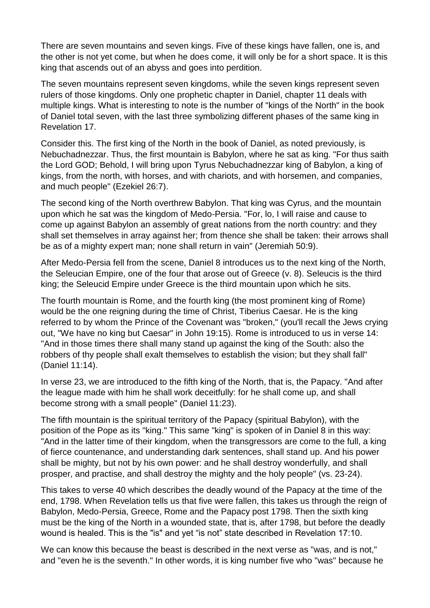There are seven mountains and seven kings. Five of these kings have fallen, one is, and the other is not yet come, but when he does come, it will only be for a short space. It is this king that ascends out of an abyss and goes into perdition.

The seven mountains represent seven kingdoms, while the seven kings represent seven rulers of those kingdoms. Only one prophetic chapter in Daniel, chapter 11 deals with multiple kings. What is interesting to note is the number of "kings of the North" in the book of Daniel total seven, with the last three symbolizing different phases of the same king in Revelation 17.

Consider this. The first king of the North in the book of Daniel, as noted previously, is Nebuchadnezzar. Thus, the first mountain is Babylon, where he sat as king. "For thus saith the Lord GOD; Behold, I will bring upon Tyrus Nebuchadnezzar king of Babylon, a king of kings, from the north, with horses, and with chariots, and with horsemen, and companies, and much people" (Ezekiel 26:7).

The second king of the North overthrew Babylon. That king was Cyrus, and the mountain upon which he sat was the kingdom of Medo-Persia. "For, lo, I will raise and cause to come up against Babylon an assembly of great nations from the north country: and they shall set themselves in array against her; from thence she shall be taken: their arrows shall be as of a mighty expert man; none shall return in vain" (Jeremiah 50:9).

After Medo-Persia fell from the scene, Daniel 8 introduces us to the next king of the North, the Seleucian Empire, one of the four that arose out of Greece (v. 8). Seleucis is the third king; the Seleucid Empire under Greece is the third mountain upon which he sits.

The fourth mountain is Rome, and the fourth king (the most prominent king of Rome) would be the one reigning during the time of Christ, Tiberius Caesar. He is the king referred to by whom the Prince of the Covenant was "broken," (you'll recall the Jews crying out, "We have no king but Caesar" in John 19:15). Rome is introduced to us in verse 14: "And in those times there shall many stand up against the king of the South: also the robbers of thy people shall exalt themselves to establish the vision; but they shall fall" (Daniel 11:14).

In verse 23, we are introduced to the fifth king of the North, that is, the Papacy. "And after the league made with him he shall work deceitfully: for he shall come up, and shall become strong with a small people" (Daniel 11:23).

The fifth mountain is the spiritual territory of the Papacy (spiritual Babylon), with the position of the Pope as its "king." This same "king" is spoken of in Daniel 8 in this way: "And in the latter time of their kingdom, when the transgressors are come to the full, a king of fierce countenance, and understanding dark sentences, shall stand up. And his power shall be mighty, but not by his own power: and he shall destroy wonderfully, and shall prosper, and practise, and shall destroy the mighty and the holy people" (vs. 23-24).

This takes to verse 40 which describes the deadly wound of the Papacy at the time of the end, 1798. When Revelation tells us that five were fallen, this takes us through the reign of Babylon, Medo-Persia, Greece, Rome and the Papacy post 1798. Then the sixth king must be the king of the North in a wounded state, that is, after 1798, but before the deadly wound is healed. This is the "is" and yet "is not" state described in Revelation 17:10.

We can know this because the beast is described in the next verse as "was, and is not," and "even he is the seventh." In other words, it is king number five who "was" because he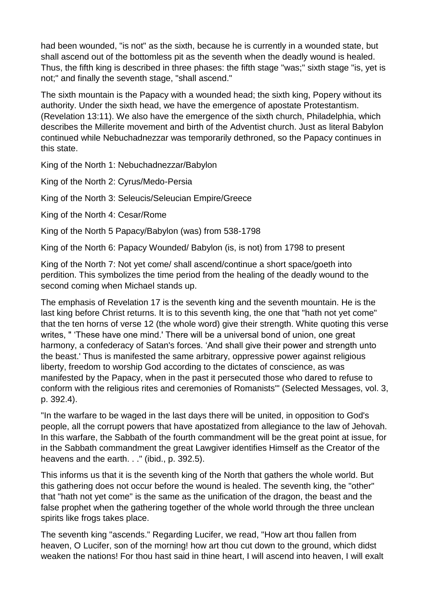had been wounded, "is not" as the sixth, because he is currently in a wounded state, but shall ascend out of the bottomless pit as the seventh when the deadly wound is healed. Thus, the fifth king is described in three phases: the fifth stage "was;" sixth stage "is, yet is not;" and finally the seventh stage, "shall ascend."

The sixth mountain is the Papacy with a wounded head; the sixth king, Popery without its authority. Under the sixth head, we have the emergence of apostate Protestantism. (Revelation 13:11). We also have the emergence of the sixth church, Philadelphia, which describes the Millerite movement and birth of the Adventist church. Just as literal Babylon continued while Nebuchadnezzar was temporarily dethroned, so the Papacy continues in this state.

King of the North 1: Nebuchadnezzar/Babylon

King of the North 2: Cyrus/Medo-Persia

King of the North 3: Seleucis/Seleucian Empire/Greece

King of the North 4: Cesar/Rome

King of the North 5 Papacy/Babylon (was) from 538-1798

King of the North 6: Papacy Wounded/ Babylon (is, is not) from 1798 to present

King of the North 7: Not yet come/ shall ascend/continue a short space/goeth into perdition. This symbolizes the time period from the healing of the deadly wound to the second coming when Michael stands up.

The emphasis of Revelation 17 is the seventh king and the seventh mountain. He is the last king before Christ returns. It is to this seventh king, the one that "hath not yet come" that the ten horns of verse 12 (the whole word) give their strength. White quoting this verse writes, " 'These have one mind.' There will be a universal bond of union, one great harmony, a confederacy of Satan's forces. 'And shall give their power and strength unto the beast.' Thus is manifested the same arbitrary, oppressive power against religious liberty, freedom to worship God according to the dictates of conscience, as was manifested by the Papacy, when in the past it persecuted those who dared to refuse to conform with the religious rites and ceremonies of Romanists'" (Selected Messages, vol. 3, p. 392.4).

"In the warfare to be waged in the last days there will be united, in opposition to God's people, all the corrupt powers that have apostatized from allegiance to the law of Jehovah. In this warfare, the Sabbath of the fourth commandment will be the great point at issue, for in the Sabbath commandment the great Lawgiver identifies Himself as the Creator of the heavens and the earth. . ." (ibid., p. 392.5).

This informs us that it is the seventh king of the North that gathers the whole world. But this gathering does not occur before the wound is healed. The seventh king, the "other" that "hath not yet come" is the same as the unification of the dragon, the beast and the false prophet when the gathering together of the whole world through the three unclean spirits like frogs takes place.

The seventh king "ascends." Regarding Lucifer, we read, "How art thou fallen from heaven, O Lucifer, son of the morning! how art thou cut down to the ground, which didst weaken the nations! For thou hast said in thine heart, I will ascend into heaven, I will exalt